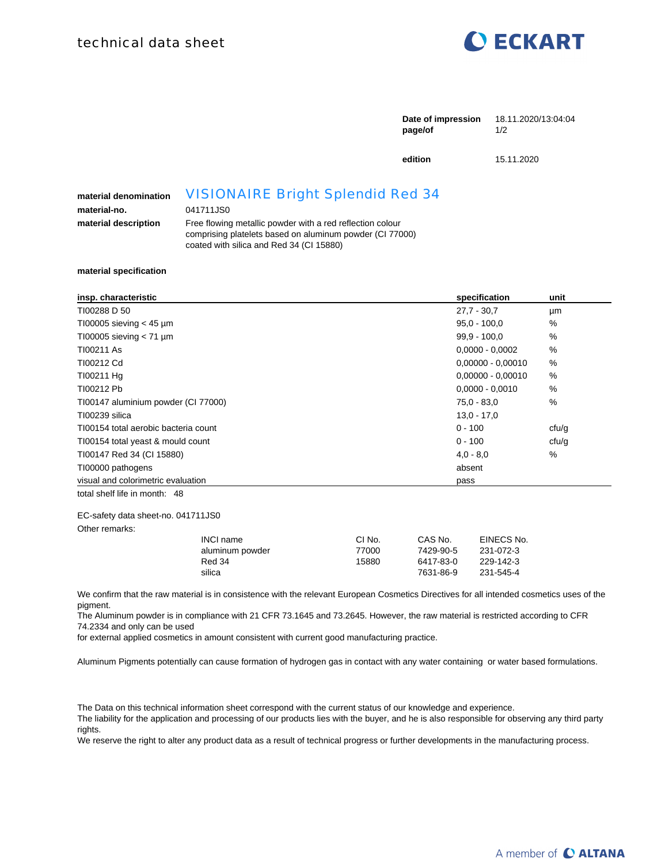

|                       |                                                                                                                       | Date of impression<br>page/of | 18.11.2020/13:04:04<br>1/2 |
|-----------------------|-----------------------------------------------------------------------------------------------------------------------|-------------------------------|----------------------------|
|                       |                                                                                                                       | edition                       | 15.11.2020                 |
| material denomination | <b>VISIONAIRE Bright Splendid Red 34</b>                                                                              |                               |                            |
| material-no.          | 041711JS0                                                                                                             |                               |                            |
| material description  | Free flowing metallic powder with a red reflection colour<br>comprising platelets based on aluminum powder (CI 77000) |                               |                            |

## **material specification**

| insp. characteristic                 | specification       | unit  |
|--------------------------------------|---------------------|-------|
| TI00288 D 50                         | $27.7 - 30.7$       | μm    |
| T100005 sieving $<$ 45 µm            | $95.0 - 100.0$      | $\%$  |
| T100005 sieving $< 71 \mu m$         | $99.9 - 100.0$      | $\%$  |
| TI00211 As                           | $0,0000 - 0,0002$   | %     |
| TI00212 Cd                           | $0,00000 - 0,00010$ | %     |
| T100211 Hg                           | $0,00000 - 0,00010$ | %     |
| T100212 Pb                           | $0,0000 - 0,0010$   | %     |
| TI00147 aluminium powder (CI 77000)  | 75,0 - 83,0         | %     |
| TI00239 silica                       | $13.0 - 17.0$       |       |
| TI00154 total aerobic bacteria count | $0 - 100$           | cfu/g |
| T100154 total yeast & mould count    | $0 - 100$           | ctu/g |
| T100147 Red 34 (CI 15880)            | $4.0 - 8.0$         | %     |
| TI00000 pathogens                    | absent              |       |
| visual and colorimetric evaluation   | pass                |       |
| total shelf life in month: 48        |                     |       |

EC-safety data sheet-no. 041711JS0

Other remarks:

| <b>INCI name</b> | CI No. | CAS No.   | EINECS No. |
|------------------|--------|-----------|------------|
| aluminum powder  | 77000  | 7429-90-5 | 231-072-3  |
| Red 34           | 15880  | 6417-83-0 | 229-142-3  |
| silica           |        | 7631-86-9 | 231-545-4  |

We confirm that the raw material is in consistence with the relevant European Cosmetics Directives for all intended cosmetics uses of the pigment.

The Aluminum powder is in compliance with 21 CFR 73.1645 and 73.2645. However, the raw material is restricted according to CFR 74.2334 and only can be used

for external applied cosmetics in amount consistent with current good manufacturing practice.

coated with silica and Red 34 (CI 15880)

Aluminum Pigments potentially can cause formation of hydrogen gas in contact with any water containing or water based formulations.

The Data on this technical information sheet correspond with the current status of our knowledge and experience. The liability for the application and processing of our products lies with the buyer, and he is also responsible for observing any third party rights.

We reserve the right to alter any product data as a result of technical progress or further developments in the manufacturing process.